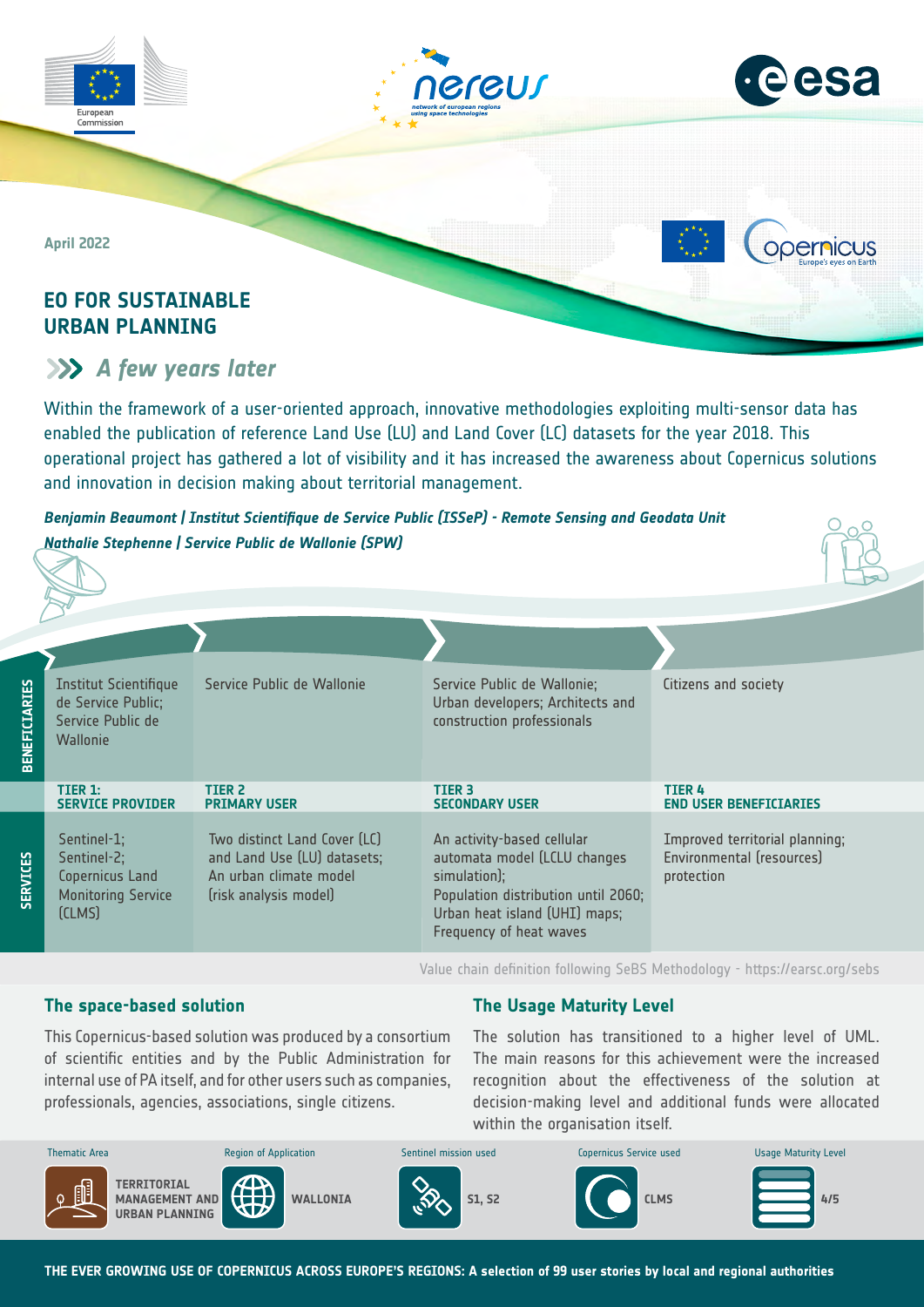



opernicus

**April 2022**

Commission

## **EO FOR SUSTAINABLE URBAN PLANNING**

# *A few years later*

Within the framework of a user-oriented approach, innovative methodologies exploiting multi-sensor data has enabled the publication of reference Land Use (LU) and Land Cover (LC) datasets for the year 2018. This operational project has gathered a lot of visibility and it has increased the awareness about Copernicus solutions and innovation in decision making about territorial management.

*Benjamin Beaumont | Institut Scientifique de Service Public (ISSeP) - Remote Sensing and Geodata Unit Nathalie Stephenne | Service Public de Wallonie (SPW)*



| <b>BENEFICIARIES</b> | <b>Institut Scientifique</b><br>de Service Public;<br>Service Public de<br><b>Wallonie</b> | Service Public de Wallonie                                                                                     | Service Public de Wallonie;<br>Urban developers; Architects and<br>construction professionals                                                                                 | Citizens and society                                                      |
|----------------------|--------------------------------------------------------------------------------------------|----------------------------------------------------------------------------------------------------------------|-------------------------------------------------------------------------------------------------------------------------------------------------------------------------------|---------------------------------------------------------------------------|
|                      | TIER 1:<br><b>SERVICE PROVIDER</b>                                                         | TIER <sub>2</sub><br><b>PRIMARY USER</b>                                                                       | TIER <sub>3</sub><br><b>SECONDARY USER</b>                                                                                                                                    | <b>TIER 4</b><br><b>END USER BENEFICIARIES</b>                            |
| <b>SERVICES</b>      | Sentinel-1;<br>Sentinel-2;<br>Copernicus Land<br><b>Monitoring Service</b><br>[CLMS]       | Two distinct Land Cover (LC)<br>and Land Use (LU) datasets;<br>An urban climate model<br>(risk analysis model) | An activity-based cellular<br>automata model (LCLU changes<br>simulation);<br>Population distribution until 2060;<br>Urban heat island (UHI) maps;<br>Frequency of heat waves | Improved territorial planning;<br>Environmental (resources)<br>protection |

Value chain definition following SeBS Methodology -<https://earsc.org/sebs>

## **The space-based solution**

This Copernicus-based solution was produced by a consortium of scientific entities and by the Public Administration for internal use of PA itself, and for other users such as companies, professionals, agencies, associations, single citizens.

## **The Usage Maturity Level**

The solution has transitioned to a higher level of UML. The main reasons for this achievement were the increased recognition about the effectiveness of the solution at decision-making level and additional funds were allocated within the organisation itself.